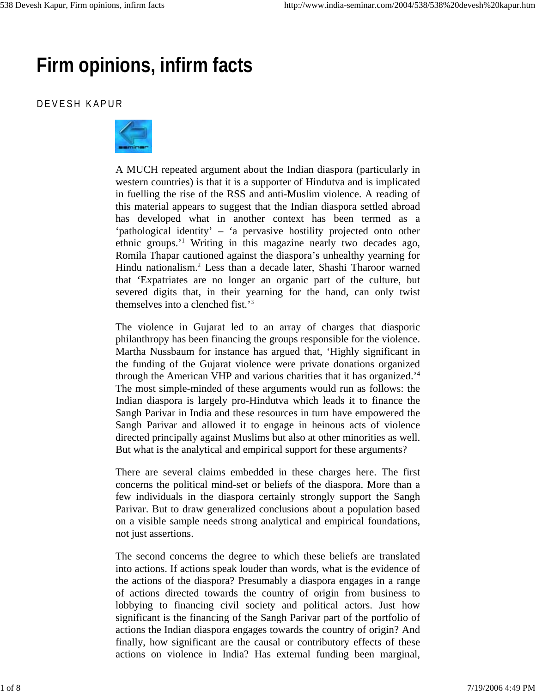## **Firm opinions, infirm facts**

## DEVESH KAPUR



A MUCH repeated argument about the Indian diaspora (particularly in western countries) is that it is a supporter of Hindutva and is implicated in fuelling the rise of the RSS and anti-Muslim violence. A reading of this material appears to suggest that the Indian diaspora settled abroad has developed what in another context has been termed as a 'pathological identity' – 'a pervasive hostility projected onto other ethnic groups.'1 Writing in this magazine nearly two decades ago, Romila Thapar cautioned against the diaspora's unhealthy yearning for Hindu nationalism.2 Less than a decade later, Shashi Tharoor warned that 'Expatriates are no longer an organic part of the culture, but severed digits that, in their yearning for the hand, can only twist themselves into a clenched fist.'3

The violence in Gujarat led to an array of charges that diasporic philanthropy has been financing the groups responsible for the violence. Martha Nussbaum for instance has argued that, 'Highly significant in the funding of the Gujarat violence were private donations organized through the American VHP and various charities that it has organized.'4 The most simple-minded of these arguments would run as follows: the Indian diaspora is largely pro-Hindutva which leads it to finance the Sangh Parivar in India and these resources in turn have empowered the Sangh Parivar and allowed it to engage in heinous acts of violence directed principally against Muslims but also at other minorities as well. But what is the analytical and empirical support for these arguments?

There are several claims embedded in these charges here. The first concerns the political mind-set or beliefs of the diaspora. More than a few individuals in the diaspora certainly strongly support the Sangh Parivar. But to draw generalized conclusions about a population based on a visible sample needs strong analytical and empirical foundations, not just assertions.

The second concerns the degree to which these beliefs are translated into actions. If actions speak louder than words, what is the evidence of the actions of the diaspora? Presumably a diaspora engages in a range of actions directed towards the country of origin from business to lobbying to financing civil society and political actors. Just how significant is the financing of the Sangh Parivar part of the portfolio of actions the Indian diaspora engages towards the country of origin? And finally, how significant are the causal or contributory effects of these actions on violence in India? Has external funding been marginal,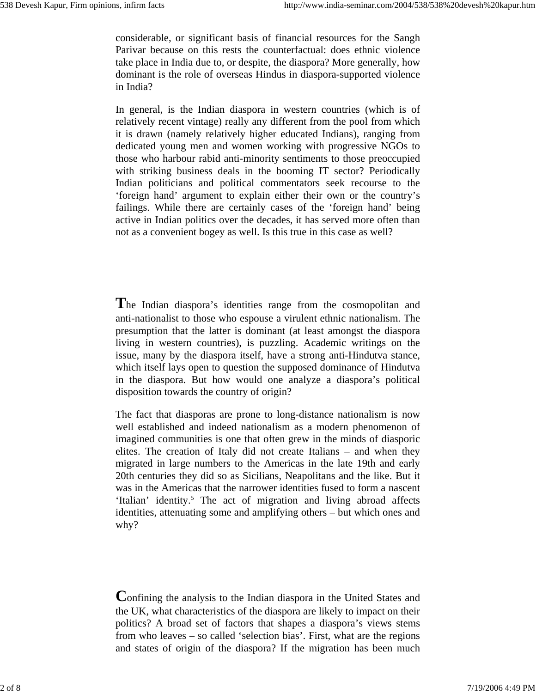considerable, or significant basis of financial resources for the Sangh Parivar because on this rests the counterfactual: does ethnic violence take place in India due to, or despite, the diaspora? More generally, how dominant is the role of overseas Hindus in diaspora-supported violence in India?

In general, is the Indian diaspora in western countries (which is of relatively recent vintage) really any different from the pool from which it is drawn (namely relatively higher educated Indians), ranging from dedicated young men and women working with progressive NGOs to those who harbour rabid anti-minority sentiments to those preoccupied with striking business deals in the booming IT sector? Periodically Indian politicians and political commentators seek recourse to the 'foreign hand' argument to explain either their own or the country's failings. While there are certainly cases of the 'foreign hand' being active in Indian politics over the decades, it has served more often than not as a convenient bogey as well. Is this true in this case as well?

**T**he Indian diaspora's identities range from the cosmopolitan and anti-nationalist to those who espouse a virulent ethnic nationalism. The presumption that the latter is dominant (at least amongst the diaspora living in western countries), is puzzling. Academic writings on the issue, many by the diaspora itself, have a strong anti-Hindutva stance, which itself lays open to question the supposed dominance of Hindutva in the diaspora. But how would one analyze a diaspora's political disposition towards the country of origin?

The fact that diasporas are prone to long-distance nationalism is now well established and indeed nationalism as a modern phenomenon of imagined communities is one that often grew in the minds of diasporic elites. The creation of Italy did not create Italians – and when they migrated in large numbers to the Americas in the late 19th and early 20th centuries they did so as Sicilians, Neapolitans and the like. But it was in the Americas that the narrower identities fused to form a nascent 'Italian' identity.<sup>5</sup> The act of migration and living abroad affects identities, attenuating some and amplifying others – but which ones and why?

**C**onfining the analysis to the Indian diaspora in the United States and the UK, what characteristics of the diaspora are likely to impact on their politics? A broad set of factors that shapes a diaspora's views stems from who leaves – so called 'selection bias'. First, what are the regions and states of origin of the diaspora? If the migration has been much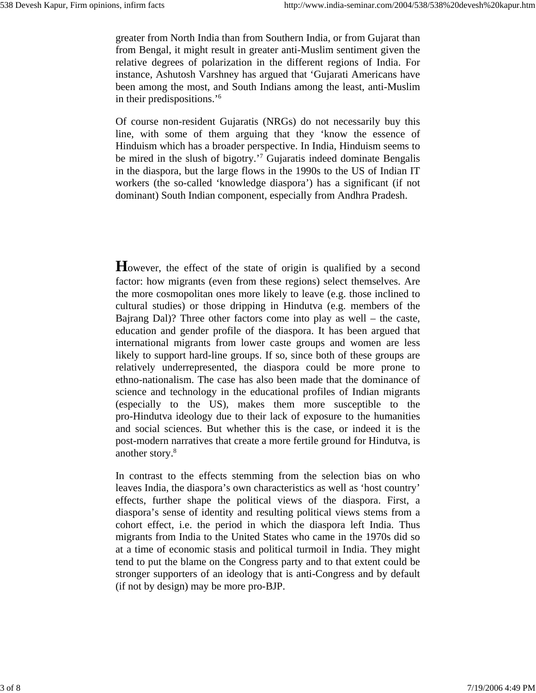greater from North India than from Southern India, or from Gujarat than from Bengal, it might result in greater anti-Muslim sentiment given the relative degrees of polarization in the different regions of India. For instance, Ashutosh Varshney has argued that 'Gujarati Americans have been among the most, and South Indians among the least, anti-Muslim in their predispositions.'6

Of course non-resident Gujaratis (NRGs) do not necessarily buy this line, with some of them arguing that they 'know the essence of Hinduism which has a broader perspective. In India, Hinduism seems to be mired in the slush of bigotry.'7 Gujaratis indeed dominate Bengalis in the diaspora, but the large flows in the 1990s to the US of Indian IT workers (the so-called 'knowledge diaspora') has a significant (if not dominant) South Indian component, especially from Andhra Pradesh.

However, the effect of the state of origin is qualified by a second factor: how migrants (even from these regions) select themselves. Are the more cosmopolitan ones more likely to leave (e.g. those inclined to cultural studies) or those dripping in Hindutva (e.g. members of the Bajrang Dal)? Three other factors come into play as well – the caste, education and gender profile of the diaspora. It has been argued that international migrants from lower caste groups and women are less likely to support hard-line groups. If so, since both of these groups are relatively underrepresented, the diaspora could be more prone to ethno-nationalism. The case has also been made that the dominance of science and technology in the educational profiles of Indian migrants (especially to the US), makes them more susceptible to the pro-Hindutva ideology due to their lack of exposure to the humanities and social sciences. But whether this is the case, or indeed it is the post-modern narratives that create a more fertile ground for Hindutva, is another story.8

In contrast to the effects stemming from the selection bias on who leaves India, the diaspora's own characteristics as well as 'host country' effects, further shape the political views of the diaspora. First, a diaspora's sense of identity and resulting political views stems from a cohort effect, i.e. the period in which the diaspora left India. Thus migrants from India to the United States who came in the 1970s did so at a time of economic stasis and political turmoil in India. They might tend to put the blame on the Congress party and to that extent could be stronger supporters of an ideology that is anti-Congress and by default (if not by design) may be more pro-BJP.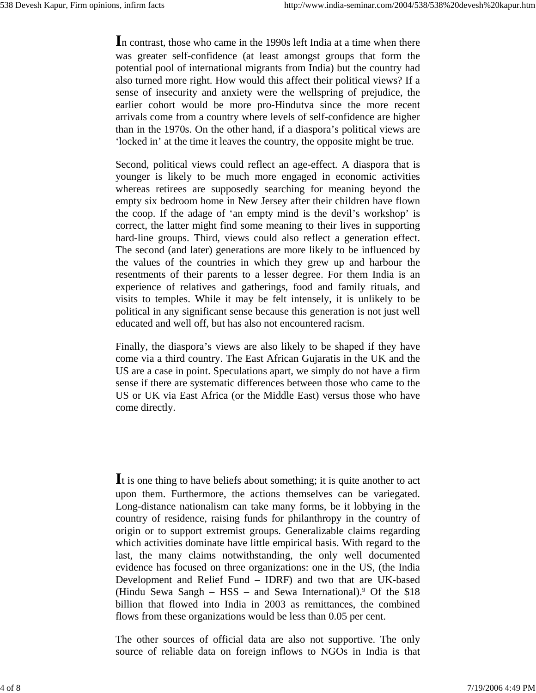**I**n contrast, those who came in the 1990s left India at a time when there was greater self-confidence (at least amongst groups that form the potential pool of international migrants from India) but the country had also turned more right. How would this affect their political views? If a sense of insecurity and anxiety were the wellspring of prejudice, the earlier cohort would be more pro-Hindutva since the more recent arrivals come from a country where levels of self-confidence are higher than in the 1970s. On the other hand, if a diaspora's political views are 'locked in' at the time it leaves the country, the opposite might be true.

Second, political views could reflect an age-effect. A diaspora that is younger is likely to be much more engaged in economic activities whereas retirees are supposedly searching for meaning beyond the empty six bedroom home in New Jersey after their children have flown the coop. If the adage of 'an empty mind is the devil's workshop' is correct, the latter might find some meaning to their lives in supporting hard-line groups. Third, views could also reflect a generation effect. The second (and later) generations are more likely to be influenced by the values of the countries in which they grew up and harbour the resentments of their parents to a lesser degree. For them India is an experience of relatives and gatherings, food and family rituals, and visits to temples. While it may be felt intensely, it is unlikely to be political in any significant sense because this generation is not just well educated and well off, but has also not encountered racism.

Finally, the diaspora's views are also likely to be shaped if they have come via a third country. The East African Gujaratis in the UK and the US are a case in point. Speculations apart, we simply do not have a firm sense if there are systematic differences between those who came to the US or UK via East Africa (or the Middle East) versus those who have come directly.

**I**t is one thing to have beliefs about something; it is quite another to act upon them. Furthermore, the actions themselves can be variegated. Long-distance nationalism can take many forms, be it lobbying in the country of residence, raising funds for philanthropy in the country of origin or to support extremist groups. Generalizable claims regarding which activities dominate have little empirical basis. With regard to the last, the many claims notwithstanding, the only well documented evidence has focused on three organizations: one in the US, (the India Development and Relief Fund – IDRF) and two that are UK-based (Hindu Sewa Sangh  $-$  HSS  $-$  and Sewa International).<sup>9</sup> Of the \$18 billion that flowed into India in 2003 as remittances, the combined flows from these organizations would be less than 0.05 per cent.

The other sources of official data are also not supportive. The only source of reliable data on foreign inflows to NGOs in India is that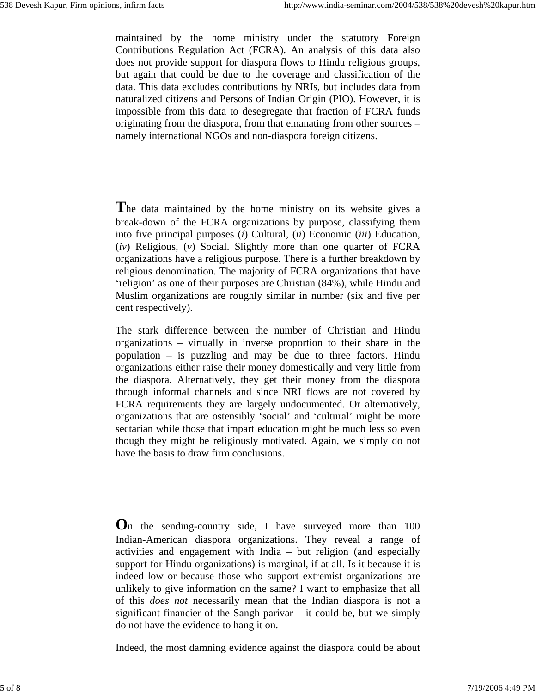maintained by the home ministry under the statutory Foreign Contributions Regulation Act (FCRA). An analysis of this data also does not provide support for diaspora flows to Hindu religious groups, but again that could be due to the coverage and classification of the data. This data excludes contributions by NRIs, but includes data from naturalized citizens and Persons of Indian Origin (PIO). However, it is impossible from this data to desegregate that fraction of FCRA funds originating from the diaspora, from that emanating from other sources – namely international NGOs and non-diaspora foreign citizens.

**T**he data maintained by the home ministry on its website gives a break-down of the FCRA organizations by purpose, classifying them into five principal purposes (*i*) Cultural, (*ii*) Economic (*iii*) Education, (*iv*) Religious, (*v*) Social. Slightly more than one quarter of FCRA organizations have a religious purpose. There is a further breakdown by religious denomination. The majority of FCRA organizations that have 'religion' as one of their purposes are Christian (84%), while Hindu and Muslim organizations are roughly similar in number (six and five per cent respectively).

The stark difference between the number of Christian and Hindu organizations – virtually in inverse proportion to their share in the population – is puzzling and may be due to three factors. Hindu organizations either raise their money domestically and very little from the diaspora. Alternatively, they get their money from the diaspora through informal channels and since NRI flows are not covered by FCRA requirements they are largely undocumented. Or alternatively, organizations that are ostensibly 'social' and 'cultural' might be more sectarian while those that impart education might be much less so even though they might be religiously motivated. Again, we simply do not have the basis to draw firm conclusions.

**O**n the sending-country side, I have surveyed more than 100 Indian-American diaspora organizations. They reveal a range of activities and engagement with India – but religion (and especially support for Hindu organizations) is marginal, if at all. Is it because it is indeed low or because those who support extremist organizations are unlikely to give information on the same? I want to emphasize that all of this *does not* necessarily mean that the Indian diaspora is not a significant financier of the Sangh parivar  $-$  it could be, but we simply do not have the evidence to hang it on.

Indeed, the most damning evidence against the diaspora could be about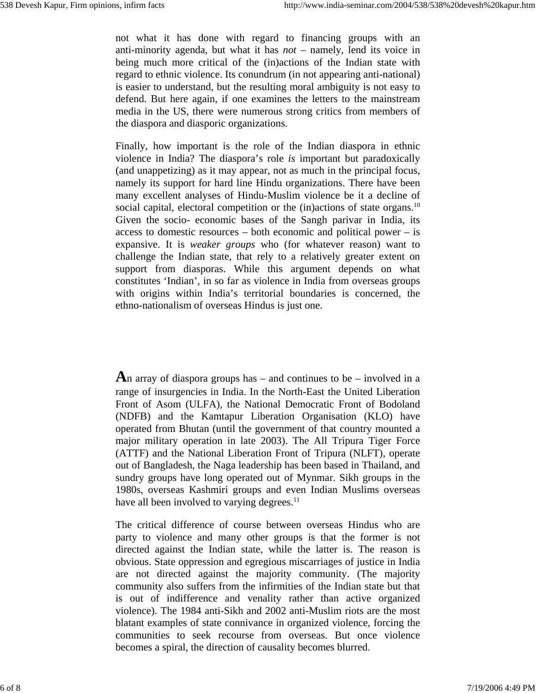not what it has done with regard to financing groups with an anti-minority agenda, but what it has *not* – namely, lend its voice in being much more critical of the (in)actions of the Indian state with regard to ethnic violence. Its conundrum (in not appearing anti-national) is easier to understand, but the resulting moral ambiguity is not easy to defend. But here again, if one examines the letters to the mainstream media in the US, there were numerous strong critics from members of the diaspora and diasporic organizations.

Finally, how important is the role of the Indian diaspora in ethnic violence in India? The diaspora's role *is* important but paradoxically (and unappetizing) as it may appear, not as much in the principal focus, namely its support for hard line Hindu organizations. There have been many excellent analyses of Hindu-Muslim violence be it a decline of social capital, electoral competition or the (in)actions of state organs.<sup>10</sup> Given the socio- economic bases of the Sangh parivar in India, its access to domestic resources – both economic and political power – is expansive. It is *weaker groups* who (for whatever reason) want to challenge the Indian state, that rely to a relatively greater extent on support from diasporas. While this argument depends on what constitutes 'Indian', in so far as violence in India from overseas groups with origins within India's territorial boundaries is concerned, the ethno-nationalism of overseas Hindus is just one.

**A**n array of diaspora groups has – and continues to be – involved in a range of insurgencies in India. In the North-East the United Liberation Front of Asom (ULFA), the National Democratic Front of Bodoland (NDFB) and the Kamtapur Liberation Organisation (KLO) have operated from Bhutan (until the government of that country mounted a major military operation in late 2003). The All Tripura Tiger Force (ATTF) and the National Liberation Front of Tripura (NLFT), operate out of Bangladesh, the Naga leadership has been based in Thailand, and sundry groups have long operated out of Mynmar. Sikh groups in the 1980s, overseas Kashmiri groups and even Indian Muslims overseas have all been involved to varying degrees.<sup>11</sup>

The critical difference of course between overseas Hindus who are party to violence and many other groups is that the former is not directed against the Indian state, while the latter is. The reason is obvious. State oppression and egregious miscarriages of justice in India are not directed against the majority community. (The majority community also suffers from the infirmities of the Indian state but that is out of indifference and venality rather than active organized violence). The 1984 anti-Sikh and 2002 anti-Muslim riots are the most blatant examples of state connivance in organized violence, forcing the communities to seek recourse from overseas. But once violence becomes a spiral, the direction of causality becomes blurred.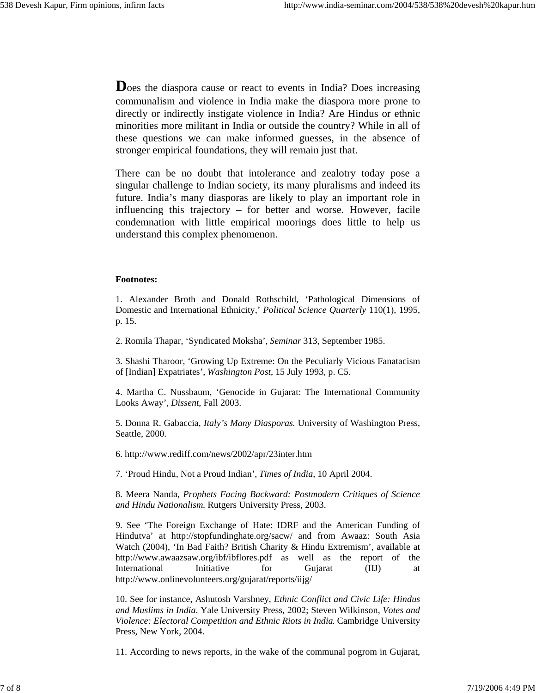**D**oes the diaspora cause or react to events in India? Does increasing communalism and violence in India make the diaspora more prone to directly or indirectly instigate violence in India? Are Hindus or ethnic minorities more militant in India or outside the country? While in all of these questions we can make informed guesses, in the absence of stronger empirical foundations, they will remain just that.

There can be no doubt that intolerance and zealotry today pose a singular challenge to Indian society, its many pluralisms and indeed its future. India's many diasporas are likely to play an important role in influencing this trajectory – for better and worse. However, facile condemnation with little empirical moorings does little to help us understand this complex phenomenon.

## **Footnotes:**

1. Alexander Broth and Donald Rothschild, 'Pathological Dimensions of Domestic and International Ethnicity,' *Political Science Quarterly* 110(1), 1995, p. 15.

2. Romila Thapar, 'Syndicated Moksha', *Seminar* 313, September 1985.

3. Shashi Tharoor, 'Growing Up Extreme: On the Peculiarly Vicious Fanatacism of [Indian] Expatriates', *Washington Post*, 15 July 1993, p. C5.

4. Martha C. Nussbaum, 'Genocide in Gujarat: The International Community Looks Away', *Dissent*, Fall 2003.

5. Donna R. Gabaccia, *Italy's Many Diasporas.* University of Washington Press, Seattle, 2000.

6. http://www.rediff.com/news/2002/apr/23inter.htm

7. 'Proud Hindu, Not a Proud Indian', *Times of India*, 10 April 2004.

8. Meera Nanda, *Prophets Facing Backward: Postmodern Critiques of Science and Hindu Nationalism.* Rutgers University Press, 2003.

9. See 'The Foreign Exchange of Hate: IDRF and the American Funding of Hindutva' at http://stopfundinghate.org/sacw/ and from Awaaz: South Asia Watch (2004), 'In Bad Faith? British Charity & Hindu Extremism', available at http://www.awaazsaw.org/ibf/ibflores.pdf as well as the report of the International Initiative for Gujarat (IIJ) at http://www.onlinevolunteers.org/gujarat/reports/iijg/

10. See for instance, Ashutosh Varshney, *Ethnic Conflict and Civic Life: Hindus and Muslims in India*. Yale University Press, 2002; Steven Wilkinson, *Votes and Violence: Electoral Competition and Ethnic Riots in India*. Cambridge University Press, New York, 2004.

11. According to news reports, in the wake of the communal pogrom in Gujarat,